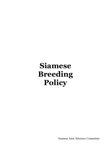# **Siamese Breeding Policy**

Siamese Joint Advisory Committee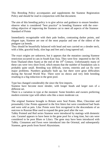This Breeding Policy accompanies and supplements the Siamese Registration Policy and should be read in conjunction with that document.

The aim of this breeding policy is to give advice and guidance to ensure breeders observe what is considered "best practice" in breeding Siamese with the overriding objective of improving the Siamese cat to meet all aspects of the Siamese Standard of Points

Immediately recognisable with their pale bodies, contrasting darker points, and elegant type, Siamese are one of the most popular and one of the oldest of the pedigree cat breeds.

They should be beautifully balanced with head and ears carried on a slender neck, with a lithe, graceful body, slim legs and feet and a long tapered tail.

The exact origins are unknown, but it appears that the mutation causing Siamese restriction occurred in cats in South East Asia. They were first imported to the UK from Thailand (then Siam) at the end of the  $19<sup>th</sup>$  Century. Unfortunately many of these cats were very short lived, which means that the number of foundation cats is probably quite small. Breeding was difficult, worms, enteritis and cat flu were major problems. Numbers gradually built up, but there were great difficulties during the Second World War. There were no shows and very little breeding resulting in a big reduction in the gene pool.

Type has changed considerably the since the first imports.

Siamese have become more slender, with longer heads and larger ears of a different set.

There is a variation in type at the moment: Some breeders and owners preferring modern extreme type with others who like a more moderate cat.

The original Siamese brought to Britain were Seal Points. Blue, Chocolate and presumably Lilac Points appeared in the first litters but were considered bad Seals and were sold as pets. Lilac Points were first recognised in the descendants of an outcross to Russian Blue used to expand the gene pool after the war.

Tabby Pointed and Red series Siamese were introduced by matings with domestic cats. Caramel appears to have been in the gene pool for a long time, but cats were considered to be poor Blues or Lilacs. The gene may have been introduced with Tabby. Cinnamon and Fawn were introduced into the Oriental, and subsequently Siamese, gene pools from Sorrel Abyssinians.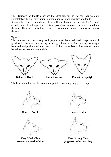The **Standard of Points** describes the ideal cat, but no cat can ever match it completely. They all have unique combinations of good qualities and faults.

It gives the relative importance of the different features of the cat. Judges don't actually look at each aspect in isolation, giving marks to each one and then adding them up. They have to look at the cat as a whole and balance each aspect against the rest.

## **Type:**

The standard calls for a long well proportioned, balanced head. Large ears with good width between, narrowing in straight lines to a fine muzzle, forming a balanced wedge shape with no break or pinch at the whiskers. The ears set should be neither too low nor too upright.



The head should be, neither round nor pointed, avoiding exaggerated type.







**Correct Profile Correct Profile** 



**Very Weak Chin Very Strong Chin (suggests overshot bite) (suggests undershot bite)**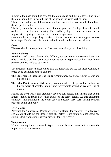In profile the nose should be straight, the chin strong and the bite level. The tip of the chin should line up with the tip of the nose in the same vertical line.

The eyes should be oriental in shape, slanting towards the nose, of a brilliant blue, the deeper the better.

The body should be medium in size, lithe and graceful. The legs slim with small, oval feet, the tail long and tapering. The head body, legs, feet and tail should all be in proportion, giving the whole a well balanced appearance

Care must be taken regarding the size of the cat, as small cats can appear to have better type. This is particularly noticeable in small, undernourished kittens.

## **Coat:**

The coat should be very short and fine in texture, glossy and close lying.

## **Points Colour:**

Breeding good points colour can be difficult, perhaps more so in some colours than others. While there has been great improvement in type, colour has taken lower priority and has suffered as a result.

The specialist Siamese breed clubs give the following advice for those wanting to breed good examples of their colours:

- **The Blue Pointed Siamese Cat Club:** recommended matings are blue to blue and blue to lilac.
- **The Lilac Point Siamese Cat Society**: recommended matings are lilac to lilac, or lilac to warm chocolate. Caramel and tabby points should be avoided if at all possible.

Kittens are born white, and gradually develop full colour. This means that young kittens should be much paler than adults of the same colour. As this darkening continues into adulthood, the older cat can become very dark, losing contrast between points and body.

# **Eye Colour:**

Although the Standards of Points are slightly different for each variety, effectively eye colour should be the deeper blue the better. Unfortunately, once good eye colour is lost from a line it is very difficult for it to recover.

## **Temperament:**

When pursuing improvements in type or colour, breeders must not overlook the importance of temperament.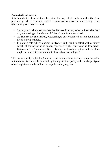## **Permitted Outcrosses:**

It is important that no obstacle be put in the way of attempts to widen the gene pool except where there are cogent reasons not to allow the outcrossing. Thus (these categories may overlap):

- Since type is what distinguishes the Siamese from any other pointed shorthair cat, outcrossing to breeds not of Oriental type is not permitted.
- As Siamese are shorthaired, outcrossing to any longhaired or semi longhaired breed is not permitted.
- In pointed cats, where a parent is silver, it is difficult to detect with certainty which of the offspring is silver, especially if the expression is low-grade. Outcrossing to Smoke and Silver Tabbies is therefore not permitted. (This might be subject to revision if a test for silver is developed)

This has implications for the Siamese registration policy: any breeds not included in the above list should be allowed by the registration policy to be in the pedigree of cats registered on the full and/or supplementary register.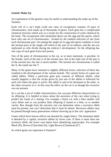# **Genetic Make Up**

An explanation of the genetics may be useful in understanding the make up of the Siamese.

Each cell of a cat's body (with one class of exceptions) contains 19 pairs of chromosomes, each made up of thousands of genes. Each gene has a complicated chemical structure which acts as a recipe for the construction of some chemical by the body. The exceptional cells mentioned above are the egg and the sperm, which have only one set of chromosomes - formed by the random selection of one from each chromosome pair. On mating the single set in egg and sperm combine to form the normal pairs in the single cell which is the start of an embryo, and the sets are replicated as cells divide during the embryo's development. So the offspring has one copy of each gene from each parent.

One of the pairs of chromosomes in the cat, as in most mammals, is peculiar. In the female, each of the pair is of the normal size, but in the male one of the pair is of the normal size, but one is much smaller. The normal size chromosome is called the X, the small one the Y

Many of the genes have mutated to slightly different forms, selection of these has resulted in the development of the various breeds*.* The variant forms of a gene are called alleles. When a particular gene pair consists of different alleles, what usually happens is that the recipe given by just one of the alleles is followed for each cell where the gene is active: this allele is said to be dominant to the other, or the other recessive to it. In this case the effect on the cat is as though the recessive was not present.

So a cat has a set of visible characteristics, but can pass different characteristics to its offspring. It is helpful to know about the ancestors of the cats when trying to predict the result of a mating. For example a black cat with a blue mother will carry dilute and so can produce blue offspring if mated to a blue, or to another carrier. But, though from the ancestry one can determine when a recessive allele must be present, one can't determine that it must be absent. Recessive alleles may be passed through many generations without showing up in the cats' appearance.

Genes which have known effects are denoted by single letters. The dominant allele is denoted by a capital, recessive alleles by lower case. If there is more than one recessive allele, the lower case letters have identifying superscripts. For example Black [B], Brown (Chocolate) [b], Light Brown (Cinnamon)  $[b^1]$ 

So which genes are important in Siamese?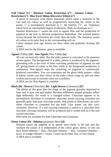# **Full Colour [C] : Burmese Colour Restriction [c<sup>b</sup> ] : Siamese Colour Restriction [c<sup>s</sup> ] : Blue Eyed Albino (Recessive White) [c<sup>a</sup> ]**

A series of recessive semi albino mutations which cause a reduction in the coat and eye colour as well as progressively restricting the colour to the points.  $c^b$  is incompletely dominant to  $c^s$ , the hybrids,  $c^b c^s$ , are Tonkinese which have an intermediate degree of albinism. Both are dominant to  $c^a$ .

Siamese Restriction c<sup>s</sup> causes the eyes to appear blue and the production of pigment in the hair to become temperature dependant. The pointed pattern occurs because the extremities are cooler than the body. The mutation causes all colours to be paler than in the corresponding self cat.

Colour darkens with age, kittens are born white and gradually develop full colour.

A DNA test for the Siamese gene is available.

#### **Agouti** (Tabby) **[A] : Non-Agouti** (Non-Tabby) **[a]**

All cats are basically tabby. But the tabby pattern is concealed in the presence of non-agouti. The background of a tabby pattern is produced by the pigmentgenerating cells at the roots of hairs switching production of pigment on and off, giving bands of colour in the hair, while in the foreground production is continuous. Non-Agouti stops the switching, so pigment is continuously produced everywhere. You can sometimes see the ghost tabby pattern - often in kittens whose coat later clears. In the paler colours rings on tails are often evident and except in extreme cases not a problem.

A DNA test for Non-Agouti is available

# **Black [B] : Brown** (Chocolate) **[b] : Light Brown** (Cinnamon) **[b<sup>l</sup> ]**

The alleles of this gene alter the shape of the pigment granules deposited in hairs and in nose and pad leather. Because differently shaped granules reflect light differently, the result is a changed colour. Chocolate appears to be incompletely dominant to cinnamon: chocolate points carrying cinnamon are generally paler than pure chocolate points. Seal points or blue points can carry either chocolate or cinnamon but not both. Lilac points can also carry cinnamon. However, if a seal carrying cinnamon is mated to a chocolate then chocolate carrying cinnamon will be produced and it would look as if the seal carried chocolate.

DNA tests are available for both Chocolate and Cinnamon.

## **Dense Colour [D] : Dilution** (popularly Blue) **[d]**

Dilution causes the pigment to be spread more thinly in the hair and this weakens the colour. It is independent of the colour genes above, so one can have black+dilution = blue, chocolate+dilution = lilac, cinnamon+dilution = fawn, or orange+dilution = cream. Cream can be blue, lilac or fawn based. A DNA test is available.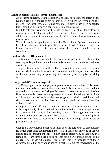#### **Dilute Modifier** (Caramel) **[Dm] : normal [dm]**

As its name suggests, Dilute Modifier is thought to modify the effect of the Dilution gene d. Although it has no known effect where the Dense gene D is present. ( i.e. seal, chocolate, cinnamon and red cats) it has been suggested that it could be the cause of a general deterioration of colour.

In dilute cats expressing any of the alleles of Black (i.e. blue, lilac or fawn) it produces caramel. Though each gives a distinct colour, for historical reasons all three are given just one colour name. In dilute cats together with orange, it produces apricot.

While this is the accepted genetic basis for Caramel and Apricot, it remains a hypothesis while no discrete gene has been identified. As there seems to be fewer blue/lilac/cream cats than expected the genetics could be more complicated.

#### **Inhibitor** (Silver) **[I] : normal [i]**

The Inhibitor gene suppresses the development of pigment in the hair of the coat, typically producing hairs that are fully coloured only at the tip and have a white base.

The gene has now been identified. There is as yet no test, but it is expected that one will be available shortly. It is dominant, but the expression is variable so that cats possessing the gene may not necessarily be recognised as doing so.

#### **Orange** (Red) **[O] : non-orange [o]**

The Orange gene causes the pigment granules to become yellow. This makes the coat, paw pads and nose leather appear red in B series cats, cream in dilute cats and apricot where the DM gene is present. It does not matter which of the B series alleles is present as the appearance is almost indistinguishable. A cat which would be seal without the orange gene is called a seal based red, similarly reds can also be chocolate or cinnamon based, and creams blue, lilac or fawn based.

Orange masks the effect of non-agouti: orange series cats always appear tabby. (Apparently clear coated reds are either ticked on careful inspection, or have been carefully selected for bad tabby pattern). All orange series with one or more tabby point parents must be registered as tabby point until proven otherwise. This used to mean using a number of test matings, but can now be proved by a DNA test.

Orange is a very unusual gene: its position is on the part of the X chromosome for which there is no counterpart in the Y. So in a male cat only one of the two alleles can be present: the cat is either orange series OY, or not oY. In a female there are three possibilities, the cat can be OO orange series, oo not orange series or Oo which gives rise to the Tortie*.* A peculiarity of the X chromosome is that only one is active in each cell, but the inactivation of the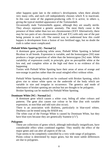other happens quite late in the embryo's development, when there already very many cells, and each cell independently chooses which X to inactivate. In this case some of the pigment-producing cells O is active, in others o. giving the typical mottled appearance of the Tortoiseshell.

Occasionally male Tortoiseshells appear, although they are usually sterile. They always represent a genetic anomaly. The most likely cause is the presence of three rather than two sex chromosomes (XXY Alternatively, there may be two pairs of sex chromosomes (XX and XY) with only one of the pair being present in each cell. The easiest way to understand how this could happen is development from a fusion of two fertilised eggs, but no doubt the truth is rather more complicated.

## **Piebald White Spotting [S] : Normal [s]**

A dominant gene producing white areas, Piebald White Spotting is behind Bicolour in all breeds. Expression is variable, and the homozygous [SS] state produces a larger proportion of white than the heterozygous [Ss] state. While variability of expression could, in principle, give no perceptible white at the low end, and complete white at the high end there is no evidence of this happening

Torties with Piebald White Spotting have their areas of areas of orange and non-orange in patches rather than the usual mingled effect without white.

Piebald White Spotting should not be confused with Brisket Spotting, which gives rise to minor white spots on the underside of the body which are variable in size and irregular in occurrence. The genetics and mode of inheritance of brisket spotting are unclear but are thought to be polygenic. Brisket Spotting can be masked by Piebald White Spotting.

## **Dominant White [W] : Normal [w]**

A dominant gene which causes a white coat, hiding all other colours and patterns. The gene also causes eye colour to be blue (but with variable expression, so non-blue and odd eyes also occur).

There is an association with deafness, particularly in blue-eyed whites. Deafness can be tested using the BAER test.

The white coat of the Foreign White is caused by Dominant White, but they have blue eyes because they are genetically Siamese  $(c^s c^s)$ .

#### **Polygenes**

These are collections of genes which, although individually insignificant, have considerable effect when combined together. They modify the effect of the major genes and can alter all aspects of the cat.

Type seems to be completely controlled by a very wide range of polygenes.

Points colour is determined by major genes, but the more subtle differences are due to polygenes.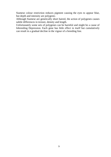Siamese colour restriction reduces pigment causing the eyes to appear blue, but depth and intensity are polygenic.

Although Siamese are genetically short haired, the action of polygenes causes subtle differences in texture, density and length.

Unfortunately some sets of polygenes can be harmful and might be a cause of Inbreeding Depression. Each gene has little effect in itself but cumulatively can result in a gradual decline in the vigour of a breeding line.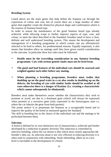# **Breeding System**

Listed above are the main genes that help define the Siamese cat through the expression of colour and coat, but of course there are a large number of other genes that together create the distinctive physical shape and confirmation which is the essence of Siamese breed type.

In order to ensure the maintenance of the good Siamese breed type already achieved, while allowing scope to further improve aspects of type, coat, and colour, to meet the ideal described in the Standard, breeders need to have a clear, definite and well understood breeding system. This means the development and management of a breeding programme in which certain cats are affirmatively selected to be bred to others, for predetermined reasons. Equally important, it also means that breeders allow no matings until they have given careful consideration to the outcome. In particular three key rules must be followed:

- **Health must be the overriding consideration in any Siamese breeding programme. Cats with serious genetic faults must not be bred from.**
- **The good and bad features of the individual cats should be assessed and weighed against each other before any mating.**
- **When planning a breeding programme, breeders must realise that doubling up on the good traits in a cat also results in doubling up on the defects; the breeding of cats with similar faults should be avoided at all costs otherwise there is a danger of fixation***.* **(i.e. creating a characteristic which cannot subsequently be eliminated).**

Breeders must make themselves aware whether the characteristics they wish to promote or avoid, are due to a dominant gene (which will always be expressed when present) or a recessive gene (only expressed in the homozygous state i.e. where the cat inherits the gene from both parents).

The prime motive is to perpetuate the Siamese as a recognisable breed and to improve the quality of the breed as measured against the Standard

The skill in breeding lies in the choice of the individual cats and the matings to be performed between them.

## **Selection**

A breed is defined by its own distinctive set of characteristics, achieved and further developed by a reduction in genetic diversity This reduction is controlled by selective breeding, where the cat chosen is that which most closely approaches the breeder's idea cat. As selection alone is not very efficient in reducing diversity it is often used in conjunction with inbreeding. Some inbreeding, albeit on at a low level is inevitable in the development of a breed.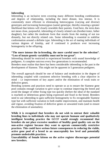## **Inbreeding**

Inbreeding is an inclusive term covering many different breeding combinations and degrees of relationship, including the more distant, less intense. It is consistently more efficient in eliminating heterozygous (varying and diverse) genotypes and increasing homozygous (same) genotype, thereby ensuring a greater likelihood that kittens will closely resemble their parents. Used here, the term does not mean close, purposeful, inbreeding of closely related cats (brother/sister, father daughter), but rather the moderate form that results from the mating of not too distantly, but not directly related cats. Some inbreeding is essential to stabilise conformation around a definite type. Inbreeding is the act of mating individuals of various degrees of kinship, and if continued it produces ever increasing homogeneity in the offspring.

## **"The more intense the in-breeding, the more careful must be the selection". "Loss of innate genetic variability must not be too great".**

Inbreeding should be restricted to experienced breeders with sound knowledge of pedigrees. A complete outcross every few generations is recommended.

Breeders must realise that there has been considerable inbreeding in the past in the development of Siamese. This might not be apparent in 5 generation pedigrees.

The overall approach should be one of balance and moderation in the degree of inbreeding coupled with consistent selective breeding with a clear objective in mind – i.e improvement of key aspect and/or the elimination of weak traits or defective genes.

Breeding systems and practices need to operate so as to ensure the Siamese gene pool contains enough variation to give scope to continue improving the breed and avoid the danger of either fixing type too quickly (before the ideal of the standard is reached) or deleterious genes being expressed and fixed in the breed. Breeders need to use inbreeding to gain sufficient homogeneity to fix recognisable Siamese type but with sufficient variation to both enable improvement, and maintain health and vigour, avoiding fixation of defective genes or unwanted traits (and to ensure the elimination of anomalies).

**While it is recognised that breeders do not wish to entrust their valuable breeding lines to individuals who may not operate humane and qualitatively intelligent breeding practice the GCCF would strongly recommend that breeders do not place excessive numbers of healthy good quality cats on the non-active register because they want to operate commercially restrictive practices. This could have serious future consequences in reducing the viable, active gene pool of a breed to an unacceptably low level and potentially promote undesirable practices.** 

**Unavailability of female kittens on the active register discourages potential new breeders.**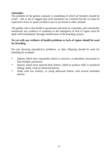## **Anomalies**

The problem of the genetic anomaly is something of which all breeders should be aware – this is not to suggest that such anomalies are common but the cat must be expected to have its quota of defects just as are found in other animals.

The golden rule is that health is paramount and must be constantly and consistently monitored; any evidence of weakness or the emergence of lack of vigour must be dealt with immediately through modification of the breeding system.

## **No cat with any evidence of health problems or lack of vigour should be used for breeding.**

No cats showing reproductive problems, or their offspring should be used for breeding for example:

- Queens which have repeatedly failed to conceive, re-absorbed, miscarried or had multiple caesareans,
- Queens which have rejected their kittens, failed to produce milk or produced fading, small, weak or abnormal kittens,
- Studs with low fertility, or siring abnormal kittens with several unrelated queens.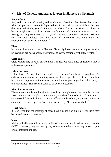# • **List of Genetic Anomalies known in Siamese or Orientals**

# **Amyloidosis**

Amyloid is a type of protein, and amyloidosis describes the disease that occurs when this particular protein is deposited within the body organs, mainly in the liver (hepatic) and kidney (renal) Siamese and Oriental cats are primarily subject to hepatic amyloidosis, resulting in liver dysfunction and haemorrhage from the liver. Young cats (approx  $8$  months  $-7$  years) are most commonly affected. Affected cats are often related, but the mode of inheritance and contribution of environmental factors is unknown. **\***

# **Bites**

Incorrect bites are an issue in Siamese. Generally bites that are misaligned tend to be overshot, are occasionally undershot, and very occasionally slightly twisted. \*

# **Cleft palate**

Cleft palates may have an environmental cause, but some lines of Siamese appear to be over-represented.<sup>\*</sup>

# **Feline Asthma**

Feline Lower Airway disease is typified by wheezing and bouts of coughing. As asthma in humans has a hereditary component, it is speculated that there may be a hereditary component to the disease in cats, but any genetic predisposition has yet to be identified. Siamese cats seem to be over-represented.

# **Flat-chest syndrome**

There is good evidence that this is caused by a simple recessive gene, but it may also have a more complex genetic cause; the disorder results in a kitten with a compressed flattened rib-cage that has difficulty in breathing, etc. It can be fatal in a number of cases, depending on degree of severity. No test is available. \*

# **Heart defects**

It is believed that the majority of cases have a genetic origin. However there may be several genetic mutations

# **Kink**

Kinks typically result from deformities of bone and are listed as defects by the GCCF. However, they are usually only of aesthetic relevance as they cause no pain or discomfort to the cat. \*

 $\overline{a}$ *\* Information from the Feline Advisory Bureau*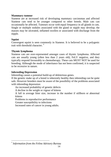## **Mammary tumour**

Siamese are at increased risk of developing mammary carcinomas and affected Siamese cats tend to be younger compared to other breeds. Male cats can occasionally be affected. Tumours occur with equal frequency in all glands in cats. Single or multiple nodules associated with the gland or nipple may develop; the masses may be ulcerated, inflamed swollen or associated with discharge from the nipple.

# **Squint**

Convergent squint is seen commonly in Siamese. It is believed to be a polygenic trait with threshold character. **\***

## **Thymic lymphoma**

Siamese cats are over-represented amongst cases of thymic lymphoma. Affected cats are usually young (often less than 2 years old), FeLV negative, and they typically respond favourably to chemotherapy. These cats MUST NOT be used for breeding. Although the mode of inheritance has not been confirmed, it is suspected to be recessive in nature.

## **Inbreeding Depression**

Inbreeding causes a potential build-up of deleterious genes.

If the genetic make up of a breed is inherently healthy then inbreeding can be quite safe. However breeders must be aware of the possibility of the problems associated with inbreeding depression:

An increased probability of genetic defects

A decline in the weight or vigour of kittens

A fall in average litter size, increase in the number if stillborn or abnormal kittens

Problems in reproductive performance

Greater susceptibility to infections

Increased rates of cancer in young adults.

 $\overline{a}$ \* *Information from the Feline Advisory Bureau*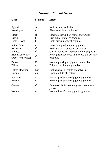# **Normal + Mutant Genes**

| Gene                                                                                           | Symbol                                  | <b>Effect</b>                                                                                                                                                                   |
|------------------------------------------------------------------------------------------------|-----------------------------------------|---------------------------------------------------------------------------------------------------------------------------------------------------------------------------------|
| Agouti                                                                                         | A                                       | Yellow band to the hairs                                                                                                                                                        |
| Non-Agouti                                                                                     | a                                       | Absence of band in the hairs                                                                                                                                                    |
| <b>Black</b>                                                                                   | B                                       | Blackish Brown hair pigment granules                                                                                                                                            |
| <b>Brown</b>                                                                                   | b.                                      | Brown hair pigment granules                                                                                                                                                     |
| Light Brown                                                                                    | $b^l$                                   | Light brown pigment granules                                                                                                                                                    |
| <b>Full Colour</b><br><b>Burmese</b><br>Siamese<br><b>Blue Eyed White</b><br>(Recessive White) | C<br>$c^{b}$<br>c <sup>s</sup><br>$c^a$ | Maximum production of pigment<br>Reduction in production of pigment<br>Greater reduction in production of pigment<br>No pigment develops in the coat, the eyes are<br>pale blue |
| Dense                                                                                          | D                                       | Normal packing of pigment molecules                                                                                                                                             |
| Dilute                                                                                         | d                                       | Dilution of pigment granules                                                                                                                                                    |
| Dilute Modifier                                                                                | D <sub>m</sub>                          | Lightens hair of dilute phenotypes                                                                                                                                              |
| Normal                                                                                         | dm                                      | Normal dilute phenotype                                                                                                                                                         |
| Inhibitor                                                                                      | I                                       | Inhibits production of pigment granules                                                                                                                                         |
| Normal                                                                                         | $\mathbf{1}$                            | Normal production of pigment granules                                                                                                                                           |
| Orange                                                                                         | O                                       | Converts black/brown pigment granules to<br>yellow                                                                                                                              |
| Normal                                                                                         | $\mathbf{o}$                            | Normal black/brown pigment granules                                                                                                                                             |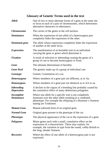# **Glossary of Genetic Terms used in the text**

| <b>Allele</b>                          | One of two or more alternate forms of a gene at the same site<br>or locus in each of a pair of chromosomes, which determines<br>alternative characters in inheritance.                                             |  |
|----------------------------------------|--------------------------------------------------------------------------------------------------------------------------------------------------------------------------------------------------------------------|--|
| <b>Chromosome</b>                      | The carrier of the genes in the cell nucleus.                                                                                                                                                                      |  |
| <b>Dominance</b>                       | When the expression of one allele of a heterozygous pair<br>completely hides the expression of the other.                                                                                                          |  |
| Dominant gene                          | The allele whose expression completely hides the expression<br>of another at the same locus.                                                                                                                       |  |
| <b>Expression</b>                      | The manifestation of an heritable trait in an individual<br>carrying the gene or genes which determine it.                                                                                                         |  |
| <b>Fixation</b>                        | A result of selection or inbreeding causing the genes of a<br>group of cats to become homozygous or fixed.                                                                                                         |  |
| Gene                                   | The ultimate determinant of heredity.                                                                                                                                                                              |  |
| <b>Gene Pool</b>                       | The genetic make up of a group of individual cats                                                                                                                                                                  |  |
| <b>Genotype</b>                        | Genetic Constitution of a cat.                                                                                                                                                                                     |  |
| <b>Heterozygous</b>                    | Where members of a gene pair are different, as in Aa.                                                                                                                                                              |  |
| Homozygous                             | Where members of a gene pair are identical as in AA or aa.                                                                                                                                                         |  |
| <i>Inbreeding</i><br><b>Depression</b> | A decline in the vigour of a breeding line probably caused by<br>the cumulative effect of many deleterious polygenes.                                                                                              |  |
| <b>Incomplete</b><br><b>Dominance</b>  | Where one allele for a specific trait is not completely<br>dominant over the other allele resulting in a combined<br>phenotype. For example the offspring of a Burmese x Siamese<br>mating are Tonkinese.          |  |
| <b>Mutant Gene</b>                     | Mutant (altered) form of an original gene.                                                                                                                                                                         |  |
| <b>Normal Gene</b>                     | Original gene present in the genotype of the cat.                                                                                                                                                                  |  |
| <b>Phenotype</b>                       | The physical appearance of the cat or the expression of a gene.                                                                                                                                                    |  |
| Polygenes                              | Minor genes each with a small, cumulative effect on the<br>expression of a characteristic. These may explain, for<br>example, the variation in type from the round, cobby British to<br>the long, slender Siamese. |  |
| <b>Recessive</b>                       | Where the effect of one allele of a heterozygous pair is not<br>expressed.                                                                                                                                         |  |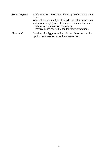| Recessive gene   | Allele whose expression is hidden by another at the same<br>locus.<br>Where there are multiple alleles (in the colour restriction<br>series for example), one allele can be dominant in some<br>combinations and recessive in others.<br>Recessive genes can be hidden for many generations |
|------------------|---------------------------------------------------------------------------------------------------------------------------------------------------------------------------------------------------------------------------------------------------------------------------------------------|
| <b>Threshold</b> | Build up of polygenes with no discernable effect until a<br>tipping point results in a sudden large effect                                                                                                                                                                                  |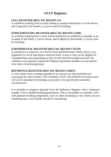# **GCCF Registers**

# **FULL REGISTER (REG NO. BEGINS CS)**

A cat/kitten resulting from an ideal mating to produce that breed; it can be shown, and if agreed by the breeder, it can be used for breeding.

# **SUPPLEMENTARY REGISTER (REG NO. BEGINS CSSR)**

A cat/kitten resulting from a more mixed mating but nevertheless acceptable as an example of the breed; it can be shown, and if agreed by the breeder, it can be used for breeding.

# **EXPERIMENTAL REGISTER (REG NO. BEGINS CSEXP)**

A cat/kitten of a relatively new breed which had Preliminary Status when it was registered. It can be both shown and bred from. It may or may not be eligible for Championship status depending on how far the breed has progressed since the cat/kitten was originally registered (Original registration numbers are not altered even when a breed progresses).

# **REFERENCE REGISTER (REG NO. BEGINS CSREF)**

A cat/or kitten from a mating regarded as an outcross for this breed (but not necessarily for other breeds). This cat/kitten is NOT ALLOWED to be shown and will not be intended for breeding except under very specifically controlled circumstances.

It is possible to progress upwards from the Reference Register with a minimum number of five suitable breeding generations. This is acceptable to a breeder with a well planned breeding programme, such as when developing a new breed, but not something that a new breeder should be considering